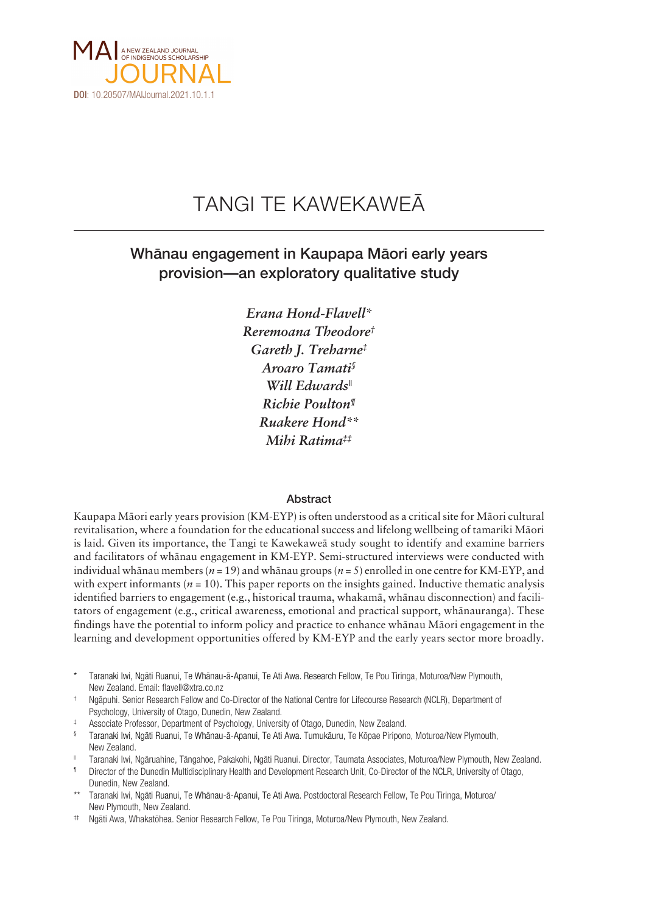

# TANGI TE KAWEKAWEÄ

# Whänau engagement in Kaupapa Mäori early years provision—an exploratory qualitative study

*Erana Hond-Flavell\* Reremoana Theodore† Gareth J. Treharne‡ Aroaro Tamati§ Will Edwards|| Richie Poulton¶ Ruakere Hond\*\* Mihi Ratima‡‡*

# Abstract

Kaupapa Mäori early years provision (KM-EYP) is often understood as a critical site for Mäori cultural revitalisation, where a foundation for the educational success and lifelong wellbeing of tamariki Mäori is laid. Given its importance, the Tangi te Kawekaweä study sought to identify and examine barriers and facilitators of whänau engagement in KM-EYP. Semi-structured interviews were conducted with individual whänau members (*n* = 19) and whänau groups (*n* = 5) enrolled in one centre for KM-EYP, and with expert informants ( $n = 10$ ). This paper reports on the insights gained. Inductive thematic analysis identified barriers to engagement (e.g., historical trauma, whakamä, whänau disconnection) and facilitators of engagement (e.g., critical awareness, emotional and practical support, whänauranga). These findings have the potential to inform policy and practice to enhance whänau Mäori engagement in the learning and development opportunities offered by KM-EYP and the early years sector more broadly.

\* Taranaki Iwi, Ngäti Ruanui, Te Whänau-ä-Apanui, Te Ati Awa. Research Fellow, Te Pou Tiringa, Moturoa/New Plymouth, New Zealand. Email: flavell@xtra.co.nz

Ngäpuhi. Senior Research Fellow and Co-Director of the National Centre for Lifecourse Research (NCLR), Department of Psychology, University of Otago, Dunedin, New Zealand.

- Associate Professor, Department of Psychology, University of Otago, Dunedin, New Zealand.
- § Taranaki Iwi, Ngäti Ruanui, Te Whänau-ä-Apanui, Te Ati Awa. Tumukäuru, Te Köpae Piripono, Moturoa/New Plymouth, New Zealand.
- || Taranaki Iwi, Ngäruahine, Tängahoe, Pakakohi, Ngäti Ruanui. Director, Taumata Associates, Moturoa/New Plymouth, New Zealand.
- Director of the Dunedin Multidisciplinary Health and Development Research Unit, Co-Director of the NCLR, University of Otago, Dunedin, New Zealand.
- \*\* Taranaki Iwi, Ngäti Ruanui, Te Whänau-ä-Apanui, Te Ati Awa. Postdoctoral Research Fellow, Te Pou Tiringa, Moturoa/ New Plymouth, New Zealand.
- ‡‡ Ngäti Awa, Whakatöhea. Senior Research Fellow, Te Pou Tiringa, Moturoa/New Plymouth, New Zealand.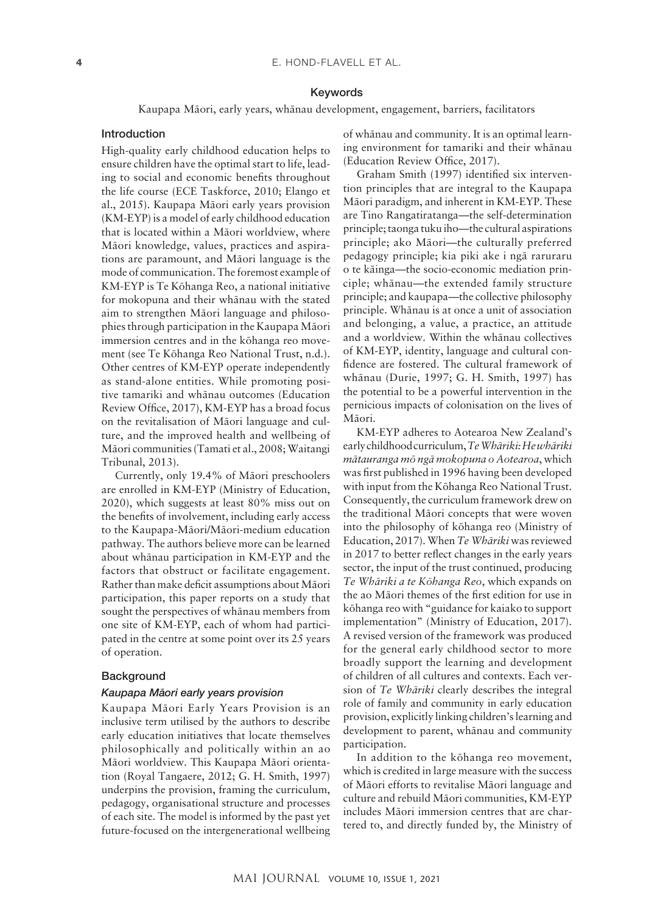#### Keywords

Kaupapa Mäori, early years, whänau development, engagement, barriers, facilitators

#### Introduction

High-quality early childhood education helps to ensure children have the optimal start to life, leading to social and economic benefits throughout the life course (ECE Taskforce, 2010; Elango et al., 2015). Kaupapa Mäori early years provision (KM-EYP) is a model of early childhood education that is located within a Mäori worldview, where Mäori knowledge, values, practices and aspirations are paramount, and Mäori language is the mode of communication. The foremost example of KM-EYP is Te Köhanga Reo, a national initiative for mokopuna and their whänau with the stated aim to strengthen Mäori language and philosophies through participation in the Kaupapa Mäori immersion centres and in the köhanga reo movement (see Te Köhanga Reo National Trust, n.d.). Other centres of KM-EYP operate independently as stand-alone entities. While promoting positive tamariki and whänau outcomes (Education Review Office, 2017), KM-EYP has a broad focus on the revitalisation of Mäori language and culture, and the improved health and wellbeing of Mäori communities (Tamati et al., 2008; Waitangi Tribunal, 2013).

Currently, only 19.4% of Mäori preschoolers are enrolled in KM-EYP (Ministry of Education, 2020), which suggests at least 80% miss out on the benefits of involvement, including early access to the Kaupapa-Mäori/Mäori-medium education pathway. The authors believe more can be learned about whänau participation in KM-EYP and the factors that obstruct or facilitate engagement. Rather than make deficit assumptions about Mäori participation, this paper reports on a study that sought the perspectives of whänau members from one site of KM-EYP, each of whom had participated in the centre at some point over its 25 years of operation.

# Background

#### **Kaupapa Māori early years provision**

Kaupapa Mäori Early Years Provision is an inclusive term utilised by the authors to describe early education initiatives that locate themselves philosophically and politically within an ao Mäori worldview. This Kaupapa Mäori orientation (Royal Tangaere, 2012; G. H. Smith, 1997) underpins the provision, framing the curriculum, pedagogy, organisational structure and processes of each site. The model is informed by the past yet future-focused on the intergenerational wellbeing

of whänau and community. It is an optimal learning environment for tamariki and their whänau (Education Review Office, 2017).

Graham Smith (1997) identified six intervention principles that are integral to the Kaupapa Mäori paradigm, and inherent in KM-EYP. These are Tino Rangatiratanga—the self-determination principle; taonga tuku iho—the cultural aspirations principle; ako Mäori—the culturally preferred pedagogy principle; kia piki ake i ngä raruraru o te käinga—the socio-economic mediation principle; whänau—the extended family structure principle; and kaupapa—the collective philosophy principle. Whänau is at once a unit of association and belonging, a value, a practice, an attitude and a worldview. Within the whänau collectives of KM-EYP, identity, language and cultural confidence are fostered. The cultural framework of whänau (Durie, 1997; G. H. Smith, 1997) has the potential to be a powerful intervention in the pernicious impacts of colonisation on the lives of Mäori.

KM-EYP adheres to Aotearoa New Zealand's early childhood curriculum, *Te Whäriki: He whäriki mätauranga mö ngä mokopuna o Aotearoa*, which was first published in 1996 having been developed with input from the Köhanga Reo National Trust. Consequently, the curriculum framework drew on the traditional Mäori concepts that were woven into the philosophy of köhanga reo (Ministry of Education, 2017). When *Te Whäriki* was reviewed in 2017 to better reflect changes in the early years sector, the input of the trust continued, producing *Te Whäriki a te Köhanga Reo*, which expands on the ao Mäori themes of the first edition for use in köhanga reo with "guidance for kaiako to support implementation" (Ministry of Education, 2017). A revised version of the framework was produced for the general early childhood sector to more broadly support the learning and development of children of all cultures and contexts. Each version of *Te Whäriki* clearly describes the integral role of family and community in early education provision, explicitly linking children's learning and development to parent, whänau and community participation.

In addition to the köhanga reo movement, which is credited in large measure with the success of Mäori efforts to revitalise Mäori language and culture and rebuild Mäori communities, KM-EYP includes Mäori immersion centres that are chartered to, and directly funded by, the Ministry of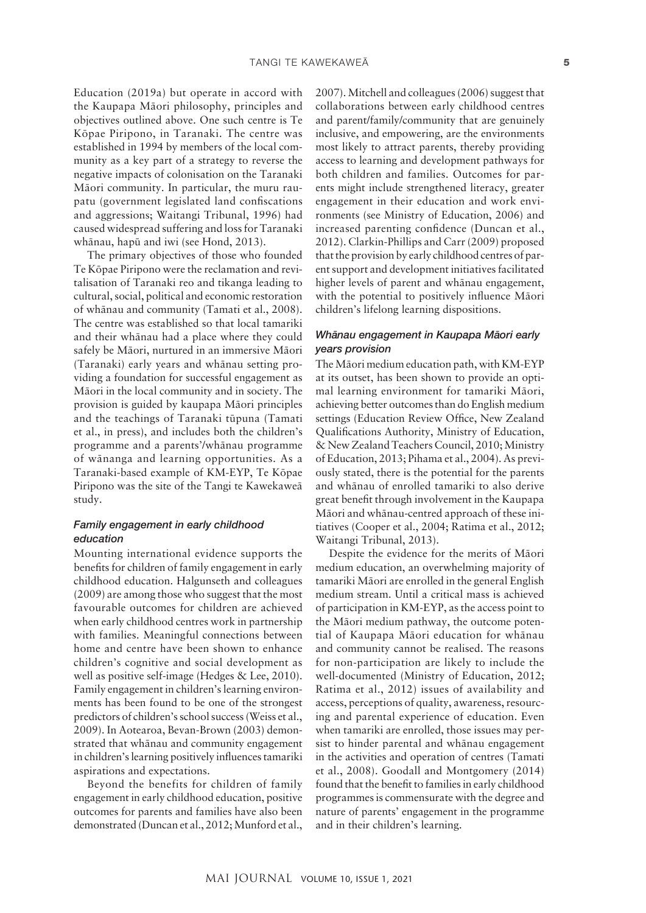Education (2019a) but operate in accord with the Kaupapa Mäori philosophy, principles and objectives outlined above. One such centre is Te Köpae Piripono, in Taranaki. The centre was established in 1994 by members of the local community as a key part of a strategy to reverse the negative impacts of colonisation on the Taranaki Mäori community. In particular, the muru raupatu (government legislated land confiscations and aggressions; Waitangi Tribunal, 1996) had caused widespread suffering and loss for Taranaki whänau, hapü and iwi (see Hond, 2013).

The primary objectives of those who founded Te Köpae Piripono were the reclamation and revitalisation of Taranaki reo and tikanga leading to cultural, social, political and economic restoration of whänau and community (Tamati et al., 2008). The centre was established so that local tamariki and their whänau had a place where they could safely be Mäori, nurtured in an immersive Mäori (Taranaki) early years and whänau setting providing a foundation for successful engagement as Mäori in the local community and in society. The provision is guided by kaupapa Mäori principles and the teachings of Taranaki tüpuna (Tamati et al., in press), and includes both the children's programme and a parents'/whänau programme of wänanga and learning opportunities. As a Taranaki-based example of KM-EYP, Te Köpae Piripono was the site of the Tangi te Kawekaweä study.

# *Family engagement in early childhood education*

Mounting international evidence supports the benefits for children of family engagement in early childhood education. Halgunseth and colleagues (2009) are among those who suggest that the most favourable outcomes for children are achieved when early childhood centres work in partnership with families. Meaningful connections between home and centre have been shown to enhance children's cognitive and social development as well as positive self-image (Hedges & Lee, 2010). Family engagement in children's learning environments has been found to be one of the strongest predictors of children's school success (Weiss et al., 2009). In Aotearoa, Bevan-Brown (2003) demonstrated that whänau and community engagement in children's learning positively influences tamariki aspirations and expectations.

Beyond the benefits for children of family engagement in early childhood education, positive outcomes for parents and families have also been demonstrated (Duncan et al., 2012; Munford et al.,

2007). Mitchell and colleagues (2006) suggest that collaborations between early childhood centres and parent/family/community that are genuinely inclusive, and empowering, are the environments most likely to attract parents, thereby providing access to learning and development pathways for both children and families. Outcomes for parents might include strengthened literacy, greater engagement in their education and work environments (see Ministry of Education, 2006) and increased parenting confidence (Duncan et al., 2012). Clarkin-Phillips and Carr (2009) proposed that the provision by early childhood centres of parent support and development initiatives facilitated higher levels of parent and whänau engagement, with the potential to positively influence Mäori children's lifelong learning dispositions.

# *Whānau engagement in Kaupapa Māori early years provision*

The Mäori medium education path, with KM-EYP at its outset, has been shown to provide an optimal learning environment for tamariki Mäori, achieving better outcomes than do English medium settings (Education Review Office, New Zealand Qualifications Authority, Ministry of Education, & New Zealand Teachers Council, 2010; Ministry of Education, 2013; Pihama et al., 2004). As previously stated, there is the potential for the parents and whänau of enrolled tamariki to also derive great benefit through involvement in the Kaupapa Mäori and whänau-centred approach of these initiatives (Cooper et al., 2004; Ratima et al., 2012; Waitangi Tribunal, 2013).

Despite the evidence for the merits of Mäori medium education, an overwhelming majority of tamariki Mäori are enrolled in the general English medium stream. Until a critical mass is achieved of participation in KM-EYP, as the access point to the Mäori medium pathway, the outcome potential of Kaupapa Mäori education for whänau and community cannot be realised. The reasons for non-participation are likely to include the well-documented (Ministry of Education, 2012; Ratima et al., 2012) issues of availability and access, perceptions of quality, awareness, resourcing and parental experience of education. Even when tamariki are enrolled, those issues may persist to hinder parental and whänau engagement in the activities and operation of centres (Tamati et al., 2008). Goodall and Montgomery (2014) found that the benefit to families in early childhood programmes is commensurate with the degree and nature of parents' engagement in the programme and in their children's learning.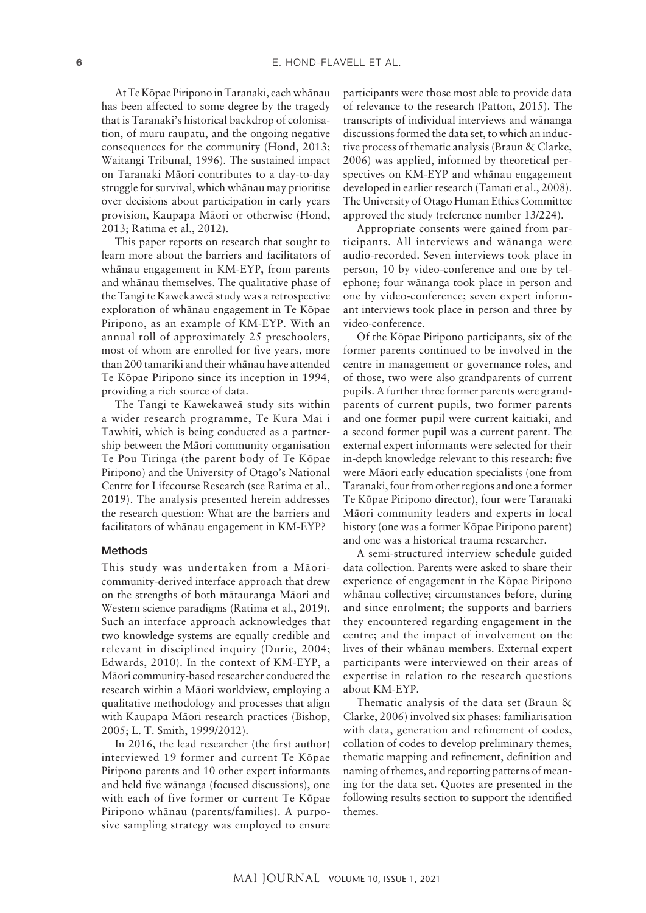At Te Köpae Piripono in Taranaki, each whänau has been affected to some degree by the tragedy that is Taranaki's historical backdrop of colonisation, of muru raupatu, and the ongoing negative consequences for the community (Hond, 2013; Waitangi Tribunal, 1996). The sustained impact on Taranaki Mäori contributes to a day-to-day struggle for survival, which whänau may prioritise over decisions about participation in early years provision, Kaupapa Mäori or otherwise (Hond, 2013; Ratima et al., 2012).

This paper reports on research that sought to learn more about the barriers and facilitators of whänau engagement in KM-EYP, from parents and whänau themselves. The qualitative phase of the Tangi te Kawekaweä study was a retrospective exploration of whänau engagement in Te Köpae Piripono, as an example of KM-EYP. With an annual roll of approximately 25 preschoolers, most of whom are enrolled for five years, more than 200 tamariki and their whänau have attended Te Köpae Piripono since its inception in 1994, providing a rich source of data.

The Tangi te Kawekaweä study sits within a wider research programme, Te Kura Mai i Tawhiti, which is being conducted as a partnership between the Mäori community organisation Te Pou Tiringa (the parent body of Te Köpae Piripono) and the University of Otago's National Centre for Lifecourse Research (see Ratima et al., 2019). The analysis presented herein addresses the research question: What are the barriers and facilitators of whänau engagement in KM-EYP?

#### Methods

This study was undertaken from a Mäoricommunity-derived interface approach that drew on the strengths of both mätauranga Mäori and Western science paradigms (Ratima et al., 2019). Such an interface approach acknowledges that two knowledge systems are equally credible and relevant in disciplined inquiry (Durie, 2004; Edwards, 2010). In the context of KM-EYP, a Mäori community-based researcher conducted the research within a Mäori worldview, employing a qualitative methodology and processes that align with Kaupapa Mäori research practices (Bishop, 2005; L. T. Smith, 1999/2012).

In 2016, the lead researcher (the first author) interviewed 19 former and current Te Köpae Piripono parents and 10 other expert informants and held five wänanga (focused discussions), one with each of five former or current Te Köpae Piripono whänau (parents/families). A purposive sampling strategy was employed to ensure

participants were those most able to provide data of relevance to the research (Patton, 2015). The transcripts of individual interviews and wänanga discussions formed the data set, to which an inductive process of thematic analysis (Braun & Clarke, 2006) was applied, informed by theoretical perspectives on KM-EYP and whänau engagement developed in earlier research (Tamati et al., 2008). The University of Otago Human Ethics Committee approved the study (reference number 13/224).

Appropriate consents were gained from participants. All interviews and wänanga were audio-recorded. Seven interviews took place in person, 10 by video-conference and one by telephone; four wänanga took place in person and one by video-conference; seven expert informant interviews took place in person and three by video-conference.

Of the Köpae Piripono participants, six of the former parents continued to be involved in the centre in management or governance roles, and of those, two were also grandparents of current pupils. A further three former parents were grandparents of current pupils, two former parents and one former pupil were current kaitiaki, and a second former pupil was a current parent. The external expert informants were selected for their in-depth knowledge relevant to this research: five were Mäori early education specialists (one from Taranaki, four from other regions and one a former Te Köpae Piripono director), four were Taranaki Mäori community leaders and experts in local history (one was a former Köpae Piripono parent) and one was a historical trauma researcher.

A semi-structured interview schedule guided data collection. Parents were asked to share their experience of engagement in the Köpae Piripono whänau collective; circumstances before, during and since enrolment; the supports and barriers they encountered regarding engagement in the centre; and the impact of involvement on the lives of their whänau members. External expert participants were interviewed on their areas of expertise in relation to the research questions about KM-EYP.

Thematic analysis of the data set (Braun & Clarke, 2006) involved six phases: familiarisation with data, generation and refinement of codes, collation of codes to develop preliminary themes, thematic mapping and refinement, definition and naming of themes, and reporting patterns of meaning for the data set. Quotes are presented in the following results section to support the identified themes.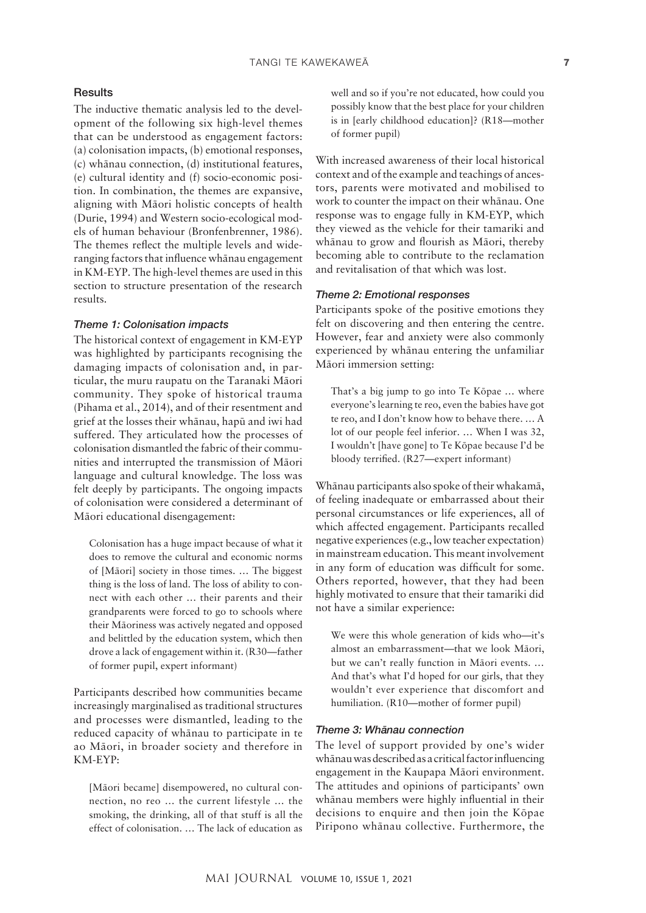# **Results**

The inductive thematic analysis led to the development of the following six high-level themes that can be understood as engagement factors: (a) colonisation impacts, (b) emotional responses, (c) whänau connection, (d) institutional features, (e) cultural identity and (f) socio-economic position. In combination, the themes are expansive, aligning with Mäori holistic concepts of health (Durie, 1994) and Western socio-ecological models of human behaviour (Bronfenbrenner, 1986). The themes reflect the multiple levels and wideranging factors that influence whänau engagement in KM-EYP. The high-level themes are used in this section to structure presentation of the research results.

### *Theme 1: Colonisation impacts*

The historical context of engagement in KM-EYP was highlighted by participants recognising the damaging impacts of colonisation and, in particular, the muru raupatu on the Taranaki Mäori community. They spoke of historical trauma (Pihama et al., 2014), and of their resentment and grief at the losses their whänau, hapü and iwi had suffered. They articulated how the processes of colonisation dismantled the fabric of their communities and interrupted the transmission of Mäori language and cultural knowledge. The loss was felt deeply by participants. The ongoing impacts of colonisation were considered a determinant of Mäori educational disengagement:

Colonisation has a huge impact because of what it does to remove the cultural and economic norms of [Mäori] society in those times. … The biggest thing is the loss of land. The loss of ability to connect with each other … their parents and their grandparents were forced to go to schools where their Mäoriness was actively negated and opposed and belittled by the education system, which then drove a lack of engagement within it. (R30—father of former pupil, expert informant)

Participants described how communities became increasingly marginalised as traditional structures and processes were dismantled, leading to the reduced capacity of whänau to participate in te ao Mäori, in broader society and therefore in KM-EYP:

[Mäori became] disempowered, no cultural connection, no reo … the current lifestyle … the smoking, the drinking, all of that stuff is all the effect of colonisation. … The lack of education as well and so if you're not educated, how could you possibly know that the best place for your children is in [early childhood education]? (R18—mother of former pupil)

With increased awareness of their local historical context and of the example and teachings of ancestors, parents were motivated and mobilised to work to counter the impact on their whänau. One response was to engage fully in KM-EYP, which they viewed as the vehicle for their tamariki and whänau to grow and flourish as Mäori, thereby becoming able to contribute to the reclamation and revitalisation of that which was lost.

#### *Theme 2: Emotional responses*

Participants spoke of the positive emotions they felt on discovering and then entering the centre. However, fear and anxiety were also commonly experienced by whänau entering the unfamiliar Mäori immersion setting:

That's a big jump to go into Te Köpae … where everyone's learning te reo, even the babies have got te reo, and I don't know how to behave there. … A lot of our people feel inferior. … When I was 32, I wouldn't [have gone] to Te Köpae because I'd be bloody terrified. (R27—expert informant)

Whänau participants also spoke of their whakamä, of feeling inadequate or embarrassed about their personal circumstances or life experiences, all of which affected engagement. Participants recalled negative experiences (e.g., low teacher expectation) in mainstream education. This meant involvement in any form of education was difficult for some. Others reported, however, that they had been highly motivated to ensure that their tamariki did not have a similar experience:

We were this whole generation of kids who—it's almost an embarrassment—that we look Mäori, but we can't really function in Mäori events. … And that's what I'd hoped for our girls, that they wouldn't ever experience that discomfort and humiliation. (R10—mother of former pupil)

#### **Theme 3: Whānau connection**

The level of support provided by one's wider whänau was described as a critical factor influencing engagement in the Kaupapa Mäori environment. The attitudes and opinions of participants' own whänau members were highly influential in their decisions to enquire and then join the Köpae Piripono whänau collective. Furthermore, the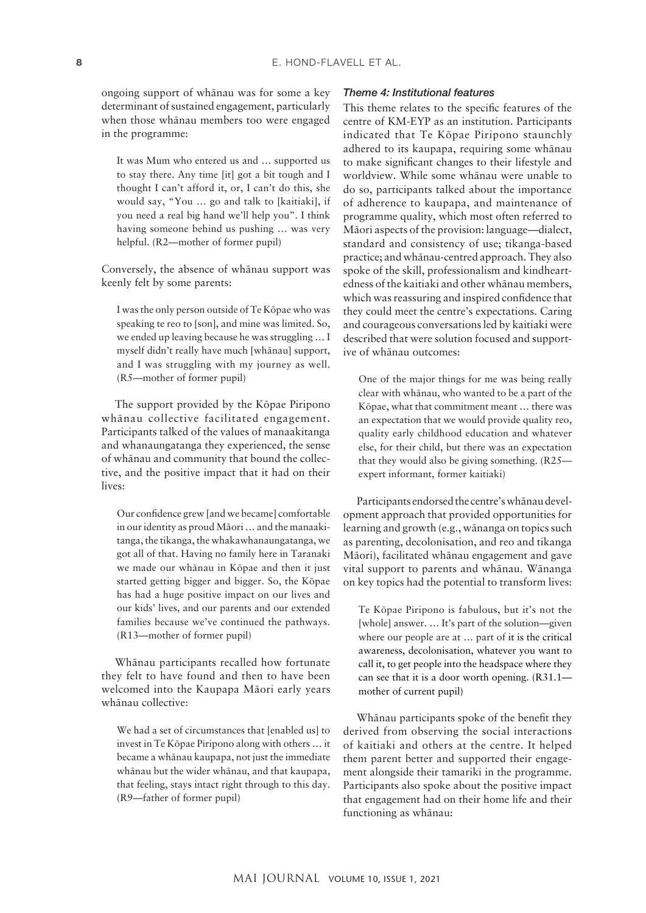ongoing support of whänau was for some a key determinant of sustained engagement, particularly when those whänau members too were engaged in the programme:

It was Mum who entered us and … supported us to stay there. Any time [it] got a bit tough and I thought I can't afford it, or, I can't do this, she would say, "You … go and talk to [kaitiaki], if you need a real big hand we'll help you". I think having someone behind us pushing … was very helpful. (R2—mother of former pupil)

Conversely, the absence of whänau support was keenly felt by some parents:

I was the only person outside of Te Köpae who was speaking te reo to [son], and mine was limited. So, we ended up leaving because he was struggling … I myself didn't really have much [whänau] support, and I was struggling with my journey as well. (R5—mother of former pupil)

The support provided by the Köpae Piripono whänau collective facilitated engagement. Participants talked of the values of manaakitanga and whanaungatanga they experienced, the sense of whänau and community that bound the collective, and the positive impact that it had on their lives:

Our confidence grew [and we became] comfortable in our identity as proud Mäori … and the manaakitanga, the tikanga, the whakawhanaungatanga, we got all of that. Having no family here in Taranaki we made our whänau in Köpae and then it just started getting bigger and bigger. So, the Köpae has had a huge positive impact on our lives and our kids' lives, and our parents and our extended families because we've continued the pathways. (R13—mother of former pupil)

Whänau participants recalled how fortunate they felt to have found and then to have been welcomed into the Kaupapa Mäori early years whänau collective:

We had a set of circumstances that [enabled us] to invest in Te Köpae Piripono along with others … it became a whänau kaupapa, not just the immediate whänau but the wider whänau, and that kaupapa, that feeling, stays intact right through to this day. (R9—father of former pupil)

### *Theme 4: Institutional features*

This theme relates to the specific features of the centre of KM-EYP as an institution. Participants indicated that Te Köpae Piripono staunchly adhered to its kaupapa, requiring some whänau to make significant changes to their lifestyle and worldview. While some whänau were unable to do so, participants talked about the importance of adherence to kaupapa, and maintenance of programme quality, which most often referred to Mäori aspects of the provision: language—dialect, standard and consistency of use; tikanga-based practice; and whänau-centred approach. They also spoke of the skill, professionalism and kindheartedness of the kaitiaki and other whänau members, which was reassuring and inspired confidence that they could meet the centre's expectations. Caring and courageous conversations led by kaitiaki were described that were solution focused and supportive of whänau outcomes:

One of the major things for me was being really clear with whänau, who wanted to be a part of the Köpae, what that commitment meant … there was an expectation that we would provide quality reo, quality early childhood education and whatever else, for their child, but there was an expectation that they would also be giving something. (R25 expert informant, former kaitiaki)

Participants endorsed the centre's whänau development approach that provided opportunities for learning and growth (e.g., wänanga on topics such as parenting, decolonisation, and reo and tikanga Mäori), facilitated whänau engagement and gave vital support to parents and whänau. Wänanga on key topics had the potential to transform lives:

Te Köpae Piripono is fabulous, but it's not the [whole] answer. … It's part of the solution—given where our people are at … part of it is the critical awareness, decolonisation, whatever you want to call it, to get people into the headspace where they can see that it is a door worth opening. (R31.1 mother of current pupil)

Whänau participants spoke of the benefit they derived from observing the social interactions of kaitiaki and others at the centre. It helped them parent better and supported their engagement alongside their tamariki in the programme. Participants also spoke about the positive impact that engagement had on their home life and their functioning as whänau: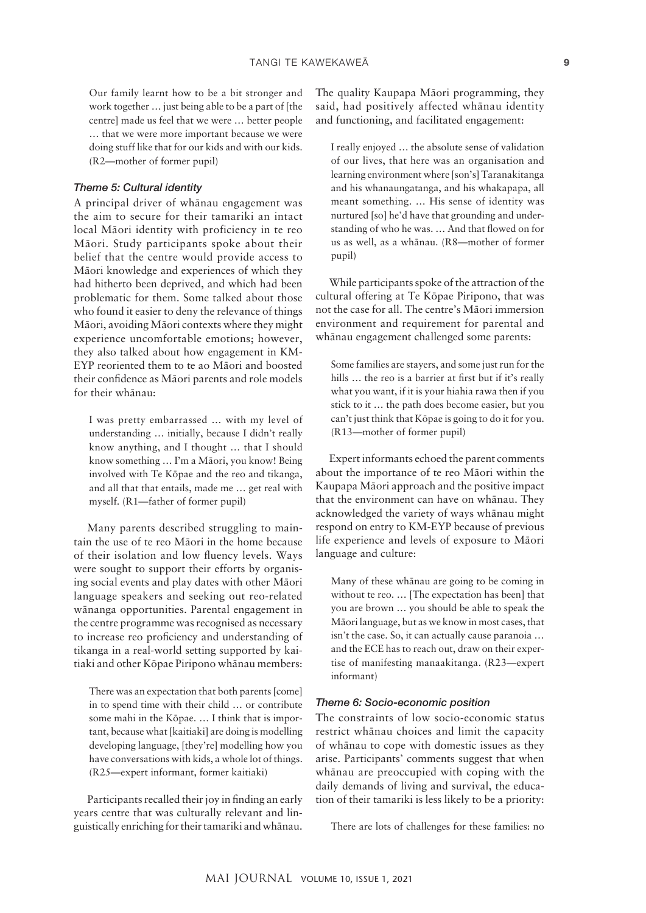Our family learnt how to be a bit stronger and work together … just being able to be a part of [the centre] made us feel that we were … better people … that we were more important because we were doing stuff like that for our kids and with our kids. (R2—mother of former pupil)

# *Theme 5: Cultural identity*

A principal driver of whänau engagement was the aim to secure for their tamariki an intact local Mäori identity with proficiency in te reo Mäori. Study participants spoke about their belief that the centre would provide access to Mäori knowledge and experiences of which they had hitherto been deprived, and which had been problematic for them. Some talked about those who found it easier to deny the relevance of things Mäori, avoiding Mäori contexts where they might experience uncomfortable emotions; however, they also talked about how engagement in KM-EYP reoriented them to te ao Mäori and boosted their confidence as Mäori parents and role models for their whänau:

I was pretty embarrassed … with my level of understanding … initially, because I didn't really know anything, and I thought … that I should know something … I'm a Mäori, you know! Being involved with Te Köpae and the reo and tikanga, and all that that entails, made me … get real with myself. (R1—father of former pupil)

Many parents described struggling to maintain the use of te reo Mäori in the home because of their isolation and low fluency levels. Ways were sought to support their efforts by organising social events and play dates with other Mäori language speakers and seeking out reo-related wänanga opportunities. Parental engagement in the centre programme was recognised as necessary to increase reo proficiency and understanding of tikanga in a real-world setting supported by kaitiaki and other Köpae Piripono whänau members:

There was an expectation that both parents [come] in to spend time with their child … or contribute some mahi in the Köpae. … I think that is important, because what [kaitiaki] are doing is modelling developing language, [they're] modelling how you have conversations with kids, a whole lot of things. (R25—expert informant, former kaitiaki)

Participants recalled their joy in finding an early years centre that was culturally relevant and linguistically enriching for their tamariki and whänau. The quality Kaupapa Mäori programming, they said, had positively affected whänau identity and functioning, and facilitated engagement:

I really enjoyed … the absolute sense of validation of our lives, that here was an organisation and learning environment where [son's] Taranakitanga and his whanaungatanga, and his whakapapa, all meant something. … His sense of identity was nurtured [so] he'd have that grounding and understanding of who he was. … And that flowed on for us as well, as a whänau. (R8—mother of former pupil)

While participants spoke of the attraction of the cultural offering at Te Köpae Piripono, that was not the case for all. The centre's Mäori immersion environment and requirement for parental and whänau engagement challenged some parents:

Some families are stayers, and some just run for the hills ... the reo is a barrier at first but if it's really what you want, if it is your hiahia rawa then if you stick to it … the path does become easier, but you can't just think that Köpae is going to do it for you. (R13—mother of former pupil)

Expert informants echoed the parent comments about the importance of te reo Mäori within the Kaupapa Mäori approach and the positive impact that the environment can have on whänau. They acknowledged the variety of ways whänau might respond on entry to KM-EYP because of previous life experience and levels of exposure to Mäori language and culture:

Many of these whänau are going to be coming in without te reo. … [The expectation has been] that you are brown … you should be able to speak the Mäori language, but as we know in most cases, that isn't the case. So, it can actually cause paranoia … and the ECE has to reach out, draw on their expertise of manifesting manaakitanga. (R23—expert informant)

#### *Theme 6: Socio-economic position*

The constraints of low socio-economic status restrict whänau choices and limit the capacity of whänau to cope with domestic issues as they arise. Participants' comments suggest that when whänau are preoccupied with coping with the daily demands of living and survival, the education of their tamariki is less likely to be a priority:

There are lots of challenges for these families: no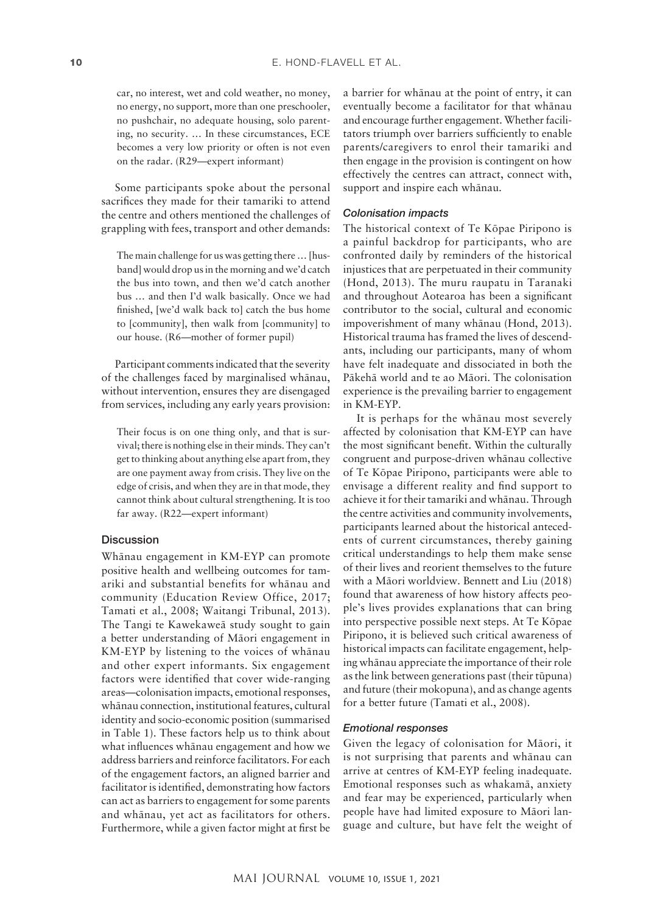car, no interest, wet and cold weather, no money, no energy, no support, more than one preschooler, no pushchair, no adequate housing, solo parenting, no security. … In these circumstances, ECE becomes a very low priority or often is not even on the radar. (R29—expert informant)

Some participants spoke about the personal sacrifices they made for their tamariki to attend the centre and others mentioned the challenges of grappling with fees, transport and other demands:

The main challenge for us was getting there … [husband] would drop us in the morning and we'd catch the bus into town, and then we'd catch another bus … and then I'd walk basically. Once we had finished, [we'd walk back to] catch the bus home to [community], then walk from [community] to our house. (R6—mother of former pupil)

Participant comments indicated that the severity of the challenges faced by marginalised whänau, without intervention, ensures they are disengaged from services, including any early years provision:

Their focus is on one thing only, and that is survival; there is nothing else in their minds. They can't get to thinking about anything else apart from, they are one payment away from crisis. They live on the edge of crisis, and when they are in that mode, they cannot think about cultural strengthening. It is too far away. (R22—expert informant)

#### **Discussion**

Whänau engagement in KM-EYP can promote positive health and wellbeing outcomes for tamariki and substantial benefits for whänau and community (Education Review Office, 2017; Tamati et al., 2008; Waitangi Tribunal, 2013). The Tangi te Kawekaweä study sought to gain a better understanding of Mäori engagement in KM-EYP by listening to the voices of whänau and other expert informants. Six engagement factors were identified that cover wide-ranging areas—colonisation impacts, emotional responses, whänau connection, institutional features, cultural identity and socio-economic position (summarised in Table 1). These factors help us to think about what influences whänau engagement and how we address barriers and reinforce facilitators. For each of the engagement factors, an aligned barrier and facilitator is identified, demonstrating how factors can act as barriers to engagement for some parents and whänau, yet act as facilitators for others. Furthermore, while a given factor might at first be

a barrier for whänau at the point of entry, it can eventually become a facilitator for that whänau and encourage further engagement. Whether facilitators triumph over barriers sufficiently to enable parents/caregivers to enrol their tamariki and then engage in the provision is contingent on how effectively the centres can attract, connect with, support and inspire each whänau.

#### *Colonisation impacts*

The historical context of Te Köpae Piripono is a painful backdrop for participants, who are confronted daily by reminders of the historical injustices that are perpetuated in their community (Hond, 2013). The muru raupatu in Taranaki and throughout Aotearoa has been a significant contributor to the social, cultural and economic impoverishment of many whänau (Hond, 2013). Historical trauma has framed the lives of descendants, including our participants, many of whom have felt inadequate and dissociated in both the Päkehä world and te ao Mäori. The colonisation experience is the prevailing barrier to engagement in KM-EYP.

It is perhaps for the whänau most severely affected by colonisation that KM-EYP can have the most significant benefit. Within the culturally congruent and purpose-driven whänau collective of Te Köpae Piripono, participants were able to envisage a different reality and find support to achieve it for their tamariki and whänau. Through the centre activities and community involvements, participants learned about the historical antecedents of current circumstances, thereby gaining critical understandings to help them make sense of their lives and reorient themselves to the future with a Mäori worldview. Bennett and Liu (2018) found that awareness of how history affects people's lives provides explanations that can bring into perspective possible next steps. At Te Köpae Piripono, it is believed such critical awareness of historical impacts can facilitate engagement, helping whänau appreciate the importance of their role as the link between generations past (their tüpuna) and future (their mokopuna), and as change agents for a better future (Tamati et al., 2008).

# *Emotional responses*

Given the legacy of colonisation for Mäori, it is not surprising that parents and whänau can arrive at centres of KM-EYP feeling inadequate. Emotional responses such as whakamä, anxiety and fear may be experienced, particularly when people have had limited exposure to Mäori language and culture, but have felt the weight of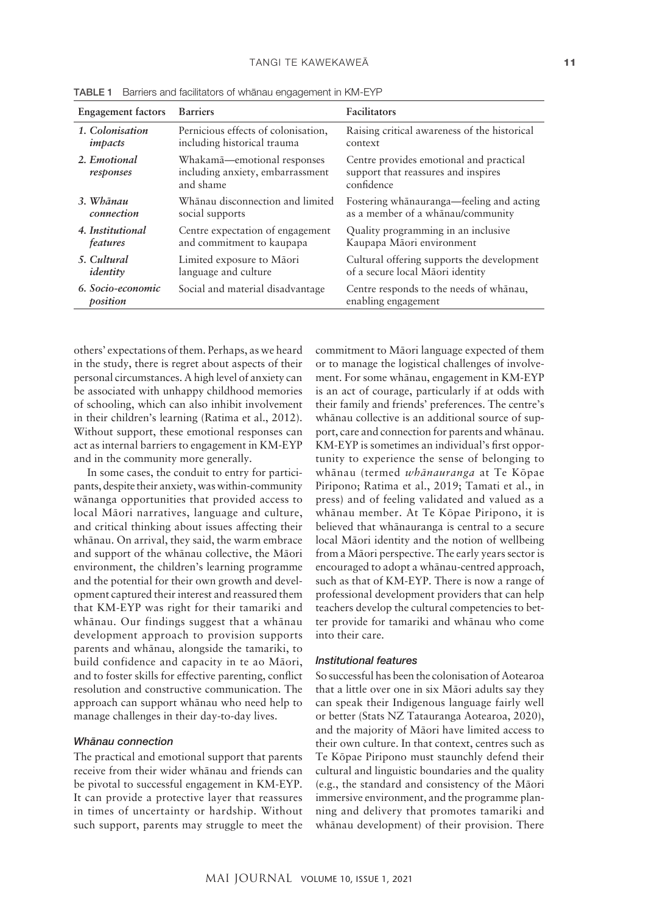| <b>Engagement</b> factors     | <b>Barriers</b>                                                              | <b>Facilitators</b>                                                                          |
|-------------------------------|------------------------------------------------------------------------------|----------------------------------------------------------------------------------------------|
| 1. Colonisation               | Pernicious effects of colonisation,                                          | Raising critical awareness of the historical                                                 |
| impacts                       | including historical trauma                                                  | context                                                                                      |
| 2. Emotional<br>responses     | Whakamā—emotional responses<br>including anxiety, embarrassment<br>and shame | Centre provides emotional and practical<br>support that reassures and inspires<br>confidence |
| 3. Whānau                     | Whanau disconnection and limited                                             | Fostering whanauranga—feeling and acting                                                     |
| connection                    | social supports                                                              | as a member of a whānau/community                                                            |
| 4. Institutional              | Centre expectation of engagement                                             | Quality programming in an inclusive                                                          |
| features                      | and commitment to kaupapa                                                    | Kaupapa Māori environment                                                                    |
| 5. Cultural                   | Limited exposure to Māori                                                    | Cultural offering supports the development                                                   |
| identity                      | language and culture                                                         | of a secure local Māori identity                                                             |
| 6. Socio-economic<br>position | Social and material disadvantage                                             | Centre responds to the needs of whanau,<br>enabling engagement                               |

TABLE 1 Barriers and facilitators of whänau engagement in KM-EYP

others' expectations of them. Perhaps, as we heard in the study, there is regret about aspects of their personal circumstances. A high level of anxiety can be associated with unhappy childhood memories of schooling, which can also inhibit involvement in their children's learning (Ratima et al., 2012). Without support, these emotional responses can act as internal barriers to engagement in KM-EYP and in the community more generally.

In some cases, the conduit to entry for participants, despite their anxiety, was within-community wänanga opportunities that provided access to local Mäori narratives, language and culture, and critical thinking about issues affecting their whänau. On arrival, they said, the warm embrace and support of the whänau collective, the Mäori environment, the children's learning programme and the potential for their own growth and development captured their interest and reassured them that KM-EYP was right for their tamariki and whänau. Our findings suggest that a whänau development approach to provision supports parents and whänau, alongside the tamariki, to build confidence and capacity in te ao Mäori, and to foster skills for effective parenting, conflict resolution and constructive communication. The approach can support whänau who need help to manage challenges in their day-to-day lives.

# **Whānau connection**

The practical and emotional support that parents receive from their wider whänau and friends can be pivotal to successful engagement in KM-EYP. It can provide a protective layer that reassures in times of uncertainty or hardship. Without such support, parents may struggle to meet the commitment to Mäori language expected of them or to manage the logistical challenges of involvement. For some whänau, engagement in KM-EYP is an act of courage, particularly if at odds with their family and friends' preferences. The centre's whänau collective is an additional source of support, care and connection for parents and whänau. KM-EYP is sometimes an individual's first opportunity to experience the sense of belonging to whänau (termed *whänauranga* at Te Köpae Piripono; Ratima et al., 2019; Tamati et al., in press) and of feeling validated and valued as a whänau member. At Te Köpae Piripono, it is believed that whänauranga is central to a secure local Mäori identity and the notion of wellbeing from a Mäori perspective. The early years sector is encouraged to adopt a whänau-centred approach, such as that of KM-EYP. There is now a range of professional development providers that can help teachers develop the cultural competencies to better provide for tamariki and whänau who come into their care.

# *Institutional features*

So successful has been the colonisation of Aotearoa that a little over one in six Mäori adults say they can speak their Indigenous language fairly well or better (Stats NZ Tatauranga Aotearoa, 2020), and the majority of Mäori have limited access to their own culture. In that context, centres such as Te Köpae Piripono must staunchly defend their cultural and linguistic boundaries and the quality (e.g., the standard and consistency of the Mäori immersive environment, and the programme planning and delivery that promotes tamariki and whänau development) of their provision. There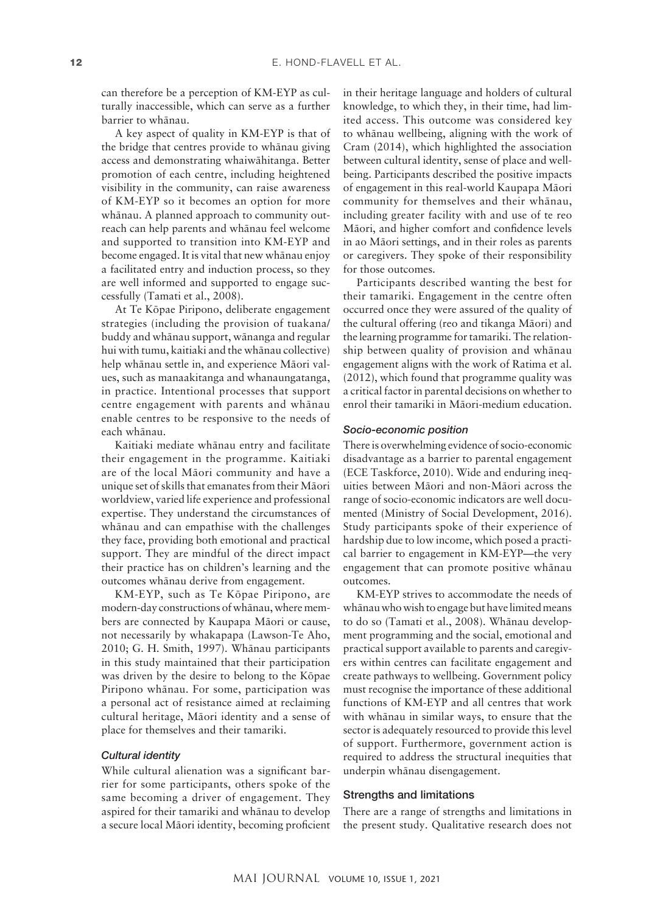can therefore be a perception of KM-EYP as culturally inaccessible, which can serve as a further barrier to whänau.

A key aspect of quality in KM-EYP is that of the bridge that centres provide to whänau giving access and demonstrating whaiwähitanga. Better promotion of each centre, including heightened visibility in the community, can raise awareness of KM-EYP so it becomes an option for more whänau. A planned approach to community outreach can help parents and whänau feel welcome and supported to transition into KM-EYP and become engaged. It is vital that new whänau enjoy a facilitated entry and induction process, so they are well informed and supported to engage successfully (Tamati et al., 2008).

At Te Köpae Piripono, deliberate engagement strategies (including the provision of tuakana/ buddy and whänau support, wänanga and regular hui with tumu, kaitiaki and the whänau collective) help whänau settle in, and experience Mäori values, such as manaakitanga and whanaungatanga, in practice. Intentional processes that support centre engagement with parents and whänau enable centres to be responsive to the needs of each whänau.

Kaitiaki mediate whänau entry and facilitate their engagement in the programme. Kaitiaki are of the local Mäori community and have a unique set of skills that emanates from their Mäori worldview, varied life experience and professional expertise. They understand the circumstances of whänau and can empathise with the challenges they face, providing both emotional and practical support. They are mindful of the direct impact their practice has on children's learning and the outcomes whänau derive from engagement.

KM-EYP, such as Te Köpae Piripono, are modern-day constructions of whänau, where members are connected by Kaupapa Mäori or cause, not necessarily by whakapapa (Lawson-Te Aho, 2010; G. H. Smith, 1997). Whänau participants in this study maintained that their participation was driven by the desire to belong to the Köpae Piripono whänau. For some, participation was a personal act of resistance aimed at reclaiming cultural heritage, Mäori identity and a sense of place for themselves and their tamariki.

# *Cultural identity*

While cultural alienation was a significant barrier for some participants, others spoke of the same becoming a driver of engagement. They aspired for their tamariki and whänau to develop a secure local Mäori identity, becoming proficient

in their heritage language and holders of cultural knowledge, to which they, in their time, had limited access. This outcome was considered key to whänau wellbeing, aligning with the work of Cram (2014), which highlighted the association between cultural identity, sense of place and wellbeing. Participants described the positive impacts of engagement in this real-world Kaupapa Mäori community for themselves and their whänau, including greater facility with and use of te reo Mäori, and higher comfort and confidence levels in ao Mäori settings, and in their roles as parents or caregivers. They spoke of their responsibility for those outcomes.

Participants described wanting the best for their tamariki. Engagement in the centre often occurred once they were assured of the quality of the cultural offering (reo and tikanga Mäori) and the learning programme for tamariki. The relationship between quality of provision and whänau engagement aligns with the work of Ratima et al. (2012), which found that programme quality was a critical factor in parental decisions on whether to enrol their tamariki in Mäori-medium education.

#### *Socio-economic position*

There is overwhelming evidence of socio-economic disadvantage as a barrier to parental engagement (ECE Taskforce, 2010). Wide and enduring inequities between Mäori and non-Mäori across the range of socio-economic indicators are well documented (Ministry of Social Development, 2016). Study participants spoke of their experience of hardship due to low income, which posed a practical barrier to engagement in KM-EYP—the very engagement that can promote positive whänau outcomes.

KM-EYP strives to accommodate the needs of whänau who wish to engage but have limited means to do so (Tamati et al., 2008). Whänau development programming and the social, emotional and practical support available to parents and caregivers within centres can facilitate engagement and create pathways to wellbeing. Government policy must recognise the importance of these additional functions of KM-EYP and all centres that work with whänau in similar ways, to ensure that the sector is adequately resourced to provide this level of support. Furthermore, government action is required to address the structural inequities that underpin whänau disengagement.

### Strengths and limitations

There are a range of strengths and limitations in the present study. Qualitative research does not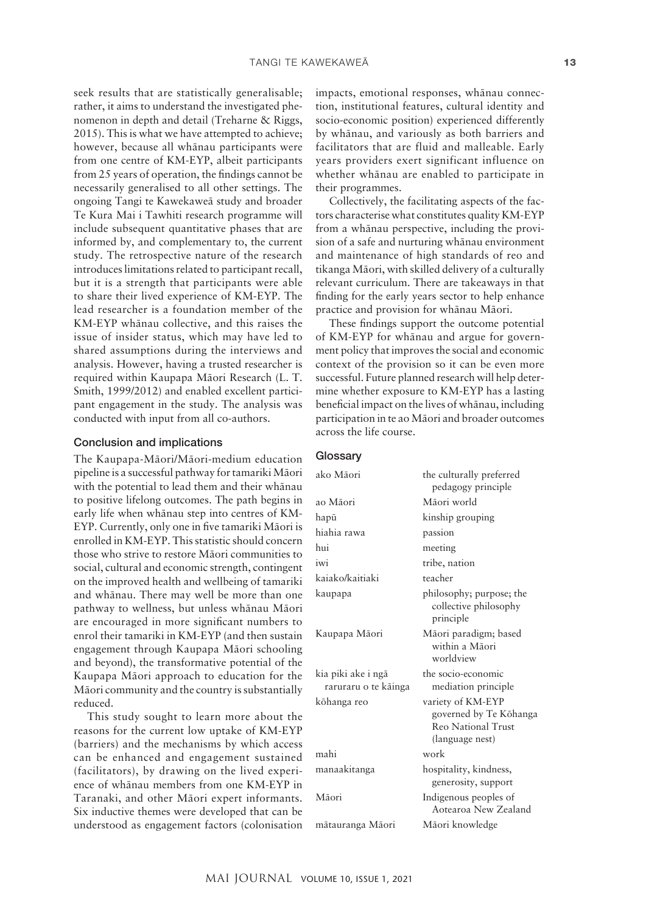seek results that are statistically generalisable; rather, it aims to understand the investigated phenomenon in depth and detail (Treharne & Riggs, 2015). This is what we have attempted to achieve; however, because all whänau participants were from one centre of KM-EYP, albeit participants from 25 years of operation, the findings cannot be necessarily generalised to all other settings. The ongoing Tangi te Kawekaweä study and broader Te Kura Mai i Tawhiti research programme will include subsequent quantitative phases that are informed by, and complementary to, the current study. The retrospective nature of the research introduces limitations related to participant recall, but it is a strength that participants were able to share their lived experience of KM-EYP. The lead researcher is a foundation member of the KM-EYP whänau collective, and this raises the issue of insider status, which may have led to shared assumptions during the interviews and analysis. However, having a trusted researcher is required within Kaupapa Mäori Research (L. T. Smith, 1999/2012) and enabled excellent participant engagement in the study. The analysis was conducted with input from all co-authors.

#### Conclusion and implications

The Kaupapa-Mäori/Mäori-medium education pipeline is a successful pathway for tamariki Mäori with the potential to lead them and their whänau to positive lifelong outcomes. The path begins in early life when whänau step into centres of KM-EYP. Currently, only one in five tamariki Mäori is enrolled in KM-EYP. This statistic should concern those who strive to restore Mäori communities to social, cultural and economic strength, contingent on the improved health and wellbeing of tamariki and whänau. There may well be more than one pathway to wellness, but unless whänau Mäori are encouraged in more significant numbers to enrol their tamariki in KM-EYP (and then sustain engagement through Kaupapa Mäori schooling and beyond), the transformative potential of the Kaupapa Mäori approach to education for the Mäori community and the country is substantially reduced.

This study sought to learn more about the reasons for the current low uptake of KM-EYP (barriers) and the mechanisms by which access can be enhanced and engagement sustained (facilitators), by drawing on the lived experience of whänau members from one KM-EYP in Taranaki, and other Mäori expert informants. Six inductive themes were developed that can be understood as engagement factors (colonisation

impacts, emotional responses, whänau connection, institutional features, cultural identity and socio-economic position) experienced differently by whänau, and variously as both barriers and facilitators that are fluid and malleable. Early years providers exert significant influence on whether whänau are enabled to participate in their programmes.

Collectively, the facilitating aspects of the factors characterise what constitutes quality KM-EYP from a whänau perspective, including the provision of a safe and nurturing whänau environment and maintenance of high standards of reo and tikanga Mäori, with skilled delivery of a culturally relevant curriculum. There are takeaways in that finding for the early years sector to help enhance practice and provision for whänau Mäori.

These findings support the outcome potential of KM-EYP for whänau and argue for government policy that improves the social and economic context of the provision so it can be even more successful. Future planned research will help determine whether exposure to KM-EYP has a lasting beneficial impact on the lives of whänau, including participation in te ao Mäori and broader outcomes across the life course.

#### **Glossary**

| ako Māori                                  | the culturally preferred<br>pedagogy principle                                       |
|--------------------------------------------|--------------------------------------------------------------------------------------|
| ao Māori                                   | Māori world                                                                          |
| hapū                                       | kinship grouping                                                                     |
| hiahia rawa                                | passion                                                                              |
| hui                                        | meeting                                                                              |
| iwi                                        | tribe, nation                                                                        |
| kajako/kaitiaki                            | teacher                                                                              |
| kaupapa                                    | philosophy; purpose; the<br>collective philosophy<br>principle                       |
| Kaupapa Māori                              | Māori paradigm; based<br>within a Māori<br>worldview                                 |
| kia piki ake i ngā<br>raruraru o te kāinga | the socio-economic<br>mediation principle                                            |
| kōhanga reo                                | variety of KM-EYP<br>governed by Te Kōhanga<br>Reo National Trust<br>(language nest) |
| mahi                                       | work                                                                                 |
| manaakitanga                               | hospitality, kindness,<br>generosity, support                                        |
| Māori                                      | Indigenous peoples of<br>Aotearoa New Zealand                                        |
| mātauranga Māori                           | Māori knowledge                                                                      |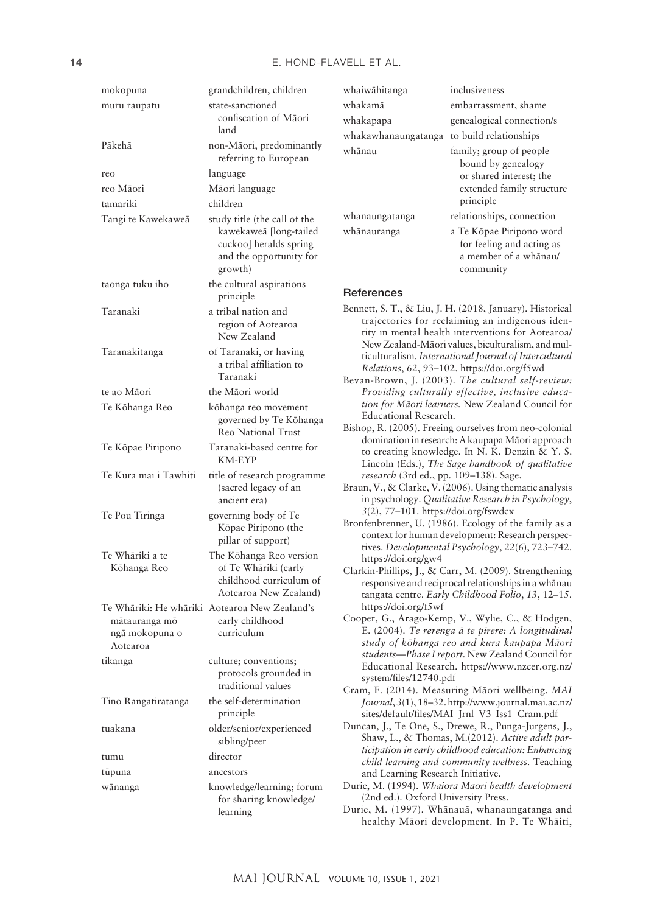| mokopuna                                    | grandchildren, children                                                                                                |
|---------------------------------------------|------------------------------------------------------------------------------------------------------------------------|
| muru raupatu                                | state-sanctioned<br>confiscation of Māori<br>land                                                                      |
| Pākehā                                      | non-Māori, predominantly<br>referring to European                                                                      |
| reo                                         | language                                                                                                               |
| reo Māori                                   | Māori language                                                                                                         |
| tamariki                                    | children                                                                                                               |
| Tangi te Kawekaweā                          | study title (the call of the<br>kawekaweā [long-tailed<br>cuckoo] heralds spring<br>and the opportunity for<br>growth) |
| taonga tuku iho                             | the cultural aspirations<br>principle                                                                                  |
| Taranaki                                    | a tribal nation and<br>region of Aotearoa<br>New Zealand                                                               |
| Taranakitanga                               | of Taranaki, or having<br>a tribal affiliation to<br>Taranaki                                                          |
| te ao Māori                                 | the Māori world                                                                                                        |
| Te Kōhanga Reo                              | kōhanga reo movement<br>governed by Te Kōhanga<br><b>Reo National Trust</b>                                            |
| Te Kōpae Piripono                           | Taranaki-based centre for<br>KM-EYP                                                                                    |
| Te Kura mai i Tawhiti                       | title of research programme<br>(sacred legacy of an<br>ancient era)                                                    |
| Te Pou Tiringa                              | governing body of Te<br>Kōpae Piripono (the<br>pillar of support)                                                      |
| Te Whāriki a te<br>Kōhanga Reo              | The Kōhanga Reo version<br>of Te Whāriki (early<br>childhood curriculum of<br>Aotearoa New Zealand)                    |
| mātauranga mō<br>ngā mokopuna o<br>Aotearoa | Te Whāriki: He whāriki Aotearoa New Zealand's<br>early childhood<br>curriculum                                         |
| tikanga                                     | culture; conventions;<br>protocols grounded in<br>traditional values                                                   |
| Tino Rangatiratanga                         | the self-determination<br>principle                                                                                    |
| tuakana                                     | older/senior/experienced<br>sibling/peer                                                                               |
| tumu                                        | director                                                                                                               |
| tupuna                                      | ancestors                                                                                                              |
| wānanga                                     | knowledge/learning; forum<br>for sharing knowledge/<br>learning                                                        |

| whaiwāhitanga       | inclusiveness                                                                                                      |
|---------------------|--------------------------------------------------------------------------------------------------------------------|
| whakamā             | embarrassment, shame                                                                                               |
| whakapapa           | genealogical connection/s                                                                                          |
| whakawhanaungatanga | to build relationships                                                                                             |
| whānau              | family; group of people<br>bound by genealogy<br>or shared interest; the<br>extended family structure<br>principle |
| whanaungatanga      | relationships, connection                                                                                          |
| whānauranga         | a Te Kōpae Piripono word<br>for feeling and acting as<br>a member of a whānau/<br>community                        |

#### **References**

- Bennett, S. T., & Liu, J. H. (2018, January). Historical trajectories for reclaiming an indigenous identity in mental health interventions for Aotearoa/ NewZealand-Mäori values, biculturalism, and multiculturalism. *International Journal of Intercultural Relations*, *62*, 93–102.<https://doi.org/f5wd>
- Bevan-Brown, J. (2003). *The cultural self-review: Providing culturally effective, inclusive education for Mäori learners.* New Zealand Council for Educational Research.
- Bishop, R. (2005). Freeing ourselves from neo-colonial domination in research: A kaupapa Mäori approach to creating knowledge. In N. K. Denzin & Y. S. Lincoln (Eds.), *The Sage handbook of qualitative research* (3rd ed., pp. 109–138). Sage.
- Braun, V., & Clarke, V. (2006). Using thematic analysis in psychology. *Qualitative Research in Psychology*, *3*(2), 77–101. <https://doi.org/fswdcx>
- Bronfenbrenner, U. (1986). Ecology of the family as a context for human development: Research perspectives. *Developmental Psychology*, *22*(6), 723–742. <https://doi.org/gw4>
- Clarkin-Phillips, J., & Carr, M. (2009). Strengthening responsive and reciprocal relationships in a whänau tangata centre. *Early Childhood Folio*, *13*, 12–15. <https://doi.org/f5wf>
- Cooper, G., Arago-Kemp, V., Wylie, C., & Hodgen, E. (2004). *Te rerenga ä te pïrere: A longitudinal study of köhanga reo and kura kaupapa Mäori students—Phase I report.* New Zealand Council for Educational Research. [https://www.nzcer.org.nz/](https://www.nzcer.org.nz/system/files/12740.pdf) [system/files/12740.pdf](https://www.nzcer.org.nz/system/files/12740.pdf)
- Cram, F. (2014). Measuring Mäori wellbeing. *MAI Journal*, *3*(1), 18–32. [http://www.journal.mai.ac.nz/](http://www.journal.mai.ac.nz/sites/default/files/MAI_Jrnl_V3_Iss1_Cram.pdf) [sites/default/files/MAI\\_Jrnl\\_V3\\_Iss1\\_Cram.pdf](http://www.journal.mai.ac.nz/sites/default/files/MAI_Jrnl_V3_Iss1_Cram.pdf)
- Duncan, J., Te One, S., Drewe, R., Punga-Jurgens, J., Shaw, L., & Thomas, M.(2012). *Active adult participation in early childhood education: Enhancing child learning and community wellness.* Teaching and Learning Research Initiative.
- Durie, M. (1994). *Whaiora Maori health development* (2nd ed.). Oxford University Press.
- Durie, M. (1997). Whänauä, whanaungatanga and healthy Mäori development. In P. Te Whäiti,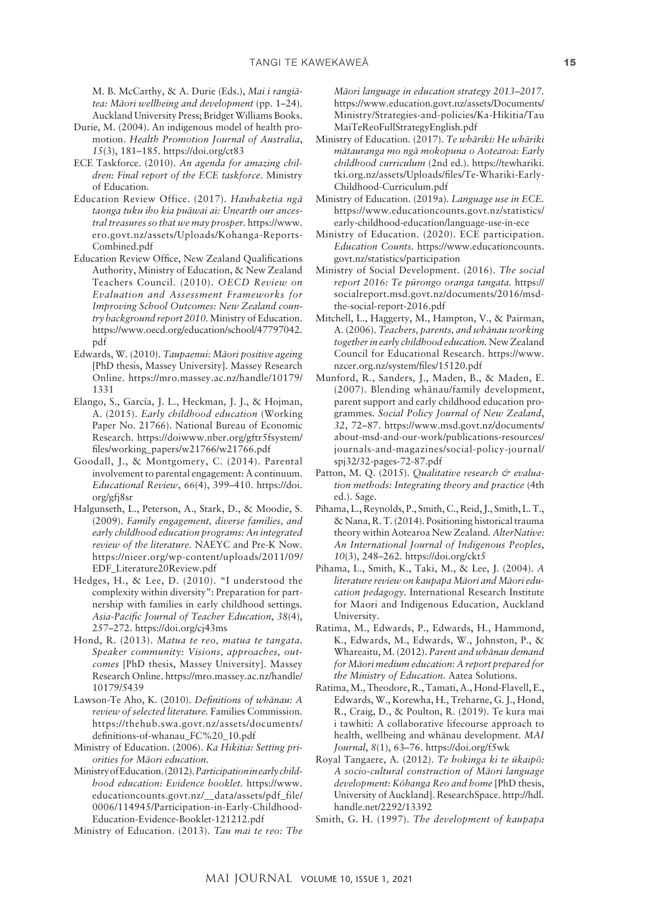M. B. McCarthy, & A. Durie (Eds.), *Mai i rangiätea: Mäori wellbeing and development* (pp. 1–24). Auckland University Press; Bridget Williams Books.

- Durie, M. (2004). An indigenous model of health promotion. *Health Promotion Journal of Australia*, *15*(3), 181–185. <https://doi.org/ct83>
- ECE Taskforce. (2010). *An agenda for amazing children: Final report of the ECE taskforce.* Ministry of Education.
- Education Review Office. (2017). *Hauhaketia ngä taonga tuku iho kia puäwai ai: Unearth our ancestral treasures so that we may prosper.* [https://www.](https://www.ero.govt.nz/assets/Uploads/Kohanga-Reports-Combined.pdf) [ero.govt.nz/assets/Uploads/Kohanga-Reports-](https://www.ero.govt.nz/assets/Uploads/Kohanga-Reports-Combined.pdf)[Combined.pdf](https://www.ero.govt.nz/assets/Uploads/Kohanga-Reports-Combined.pdf)
- Education Review Office, New Zealand Qualifications Authority, Ministry of Education, & New Zealand Teachers Council. (2010). *OECD Review on Evaluation and Assessment Frameworks for Improving School Outcomes: New Zealand country background report 2010.* Ministry of Education. [https://www.oecd.org/education/school/47797042.](https://www.oecd.org/education/school/47797042.pdf) [pdf](https://www.oecd.org/education/school/47797042.pdf)
- Edwards, W. (2010). *Taupaenui: Mäori positive ageing* [PhD thesis, Massey University]. Massey Research Online. [https://mro.massey.ac.nz/handle/10179/](https://mro.massey.ac.nz/handle/10179/1331) [1331](https://mro.massey.ac.nz/handle/10179/1331)
- Elango, S., García, J. L., Heckman, J. J., & Hojman, A. (2015). *Early childhood education* (Working Paper No. 21766). National Bureau of Economic Research. [https://doiwww.nber.org/gftr5fsystem/](https://doiwww.nber.org/gftr5fsystem/files/working_papers/w21766/w21766.pdf) [files/working\\_papers/w21766/w21766.pdf](https://doiwww.nber.org/gftr5fsystem/files/working_papers/w21766/w21766.pdf)
- Goodall, J., & Montgomery, C. (2014). Parental involvement to parental engagement: A continuum. *Educational Review*, *66*(4), 399–410. [https://doi.](https://doi.org/gfj8sr) [org/gfj8sr](https://doi.org/gfj8sr)
- Halgunseth, L., Peterson, A., Stark, D., & Moodie, S. (2009). *Family engagement, diverse families, and early childhood education programs: An integrated review of the literature.* NAEYC and Pre-K Now. [https://nieer.org/wp-content/uploads/2011/09/](https://nieer.org/wp-content/uploads/2011/09/EDF_Literature20Review.pdf) [EDF\\_Literature20Review.pdf](https://nieer.org/wp-content/uploads/2011/09/EDF_Literature20Review.pdf)
- Hedges, H., & Lee, D. (2010). "I understood the complexity within diversity": Preparation for partnership with families in early childhood settings. *Asia-Pacific Journal of Teacher Education*, *38*(4), 257–272. <https://doi.org/cj43ms>
- Hond, R. (2013). *Matua te reo, matua te tangata. Speaker community: Visions, approaches, outcomes* [PhD thesis, Massey University]. Massey Research Online. [https://mro.massey.ac.nz/handle/](https://mro.massey.ac.nz/handle/10179/5439) [10179/5439](https://mro.massey.ac.nz/handle/10179/5439)
- Lawson-Te Aho, K. (2010). *Definitions of whänau: A review of selected literature.* Families Commission. [https://thehub.swa.govt.nz/assets/documents/](https://thehub.swa.govt.nz/assets/documents/definitions-of-whanau_FC%20_10.pdf) [definitions-of-whanau\\_FC%20\\_10.pdf](https://thehub.swa.govt.nz/assets/documents/definitions-of-whanau_FC%20_10.pdf)
- Ministry of Education. (2006). *Ka Hikitia: Setting priorities for Mäori education.*
- Ministry of Education. (2012). *Participation in early childhood education: Evidence booklet.* [https://www.](https://www.educationcounts.govt.nz/__data/assets/pdf_file/0006/114945/Participation-in-Early-Childhood-Education-Evidence-Booklet-121212.pdf) [educationcounts.govt.nz/\\_\\_data/assets/pdf\\_file/](https://www.educationcounts.govt.nz/__data/assets/pdf_file/0006/114945/Participation-in-Early-Childhood-Education-Evidence-Booklet-121212.pdf) [0006/114945/Participation-in-Early-Childhood-](https://www.educationcounts.govt.nz/__data/assets/pdf_file/0006/114945/Participation-in-Early-Childhood-Education-Evidence-Booklet-121212.pdf)[Education-Evidence-Booklet-121212.pdf](https://www.educationcounts.govt.nz/__data/assets/pdf_file/0006/114945/Participation-in-Early-Childhood-Education-Evidence-Booklet-121212.pdf)

Ministry of Education. (2013). *Tau mai te reo: The* 

*Mäori language in education strategy 2013–2017.* [https://www.education.govt.nz/assets/Documents/](https://www.education.govt.nz/assets/Documents/Ministry/Strategies-and-policies/Ka-Hikitia/TauMaiTeReoFullStrategyEnglish.pdf) [Ministry/Strategies-and-policies/Ka-Hikitia/Tau](https://www.education.govt.nz/assets/Documents/Ministry/Strategies-and-policies/Ka-Hikitia/TauMaiTeReoFullStrategyEnglish.pdf) [MaiTeReoFullStrategyEnglish.pdf](https://www.education.govt.nz/assets/Documents/Ministry/Strategies-and-policies/Ka-Hikitia/TauMaiTeReoFullStrategyEnglish.pdf)

- Ministry of Education. (2017). *Te whäriki: He whäriki mätauranga mo ngä mokopuna o Aotearoa: Early childhood curriculum* (2nd ed.). [https://tewhariki.](https://tewhariki.tki.org.nz/assets/Uploads/files/Te-Whariki-Early-Childhood-Curriculum.pdf) [tki.org.nz/assets/Uploads/files/Te-Whariki-Early-](https://tewhariki.tki.org.nz/assets/Uploads/files/Te-Whariki-Early-Childhood-Curriculum.pdf)[Childhood-Curriculum.pdf](https://tewhariki.tki.org.nz/assets/Uploads/files/Te-Whariki-Early-Childhood-Curriculum.pdf)
- Ministry of Education. (2019a). *Language use in ECE.* [https://www.educationcounts.govt.nz/statistics/](https://www.educationcounts.govt.nz/statistics/early-childhood-education/language-use-in-ece) [early-childhood-education/language-use-in-ece](https://www.educationcounts.govt.nz/statistics/early-childhood-education/language-use-in-ece)
- Ministry of Education. (2020). ECE participation. *Education Counts.* [https://www.educationcounts.](https://www.educationcounts.govt.nz/statistics/participation) [govt.nz/statistics/participation](https://www.educationcounts.govt.nz/statistics/participation)
- Ministry of Social Development. (2016). *The social report 2016: Te pürongo oranga tangata.* [https://](https://socialreport.msd.govt.nz/documents/2016/msd-the-social-report-2016.pdf) [socialreport.msd.govt.nz/documents/2016/msd](https://socialreport.msd.govt.nz/documents/2016/msd-the-social-report-2016.pdf)[the-social-report-2016.pdf](https://socialreport.msd.govt.nz/documents/2016/msd-the-social-report-2016.pdf)
- Mitchell, L., Haggerty, M., Hampton, V., & Pairman, A. (2006). *Teachers, parents, and whänau working together in early childhood education.* NewZealand Council for Educational Research. [https://www.](https://www.nzcer.org.nz/system/files/15120.pdf) [nzcer.org.nz/system/files/15120.pdf](https://www.nzcer.org.nz/system/files/15120.pdf)
- Munford, R., Sanders, J., Maden, B., & Maden, E. (2007). Blending whänau/family development, parent support and early childhood education programmes. *Social Policy Journal of New Zealand*, *32*, 72–87. [https://www.msd.govt.nz/documents/](https://www.msd.govt.nz/documents/about-msd-and-our-work/publications-resources/journals-and-magazines/social-policy-journal/spj32/32-pages-72-87.pdf) [about-msd-and-our-work/publications-resources/](https://www.msd.govt.nz/documents/about-msd-and-our-work/publications-resources/journals-and-magazines/social-policy-journal/spj32/32-pages-72-87.pdf) [journals-and-magazines/social-policy-journal/](https://www.msd.govt.nz/documents/about-msd-and-our-work/publications-resources/journals-and-magazines/social-policy-journal/spj32/32-pages-72-87.pdf) [spj32/32-pages-72-87.pdf](https://www.msd.govt.nz/documents/about-msd-and-our-work/publications-resources/journals-and-magazines/social-policy-journal/spj32/32-pages-72-87.pdf)
- Patton, M. Q. (2015). *Qualitative research & evaluation methods: Integrating theory and practice* (4th ed.). Sage.
- Pihama, L., Reynolds, P., Smith, C., Reid, J., Smith, L.T., & Nana, R.T. (2014). Positioning historical trauma theory within Aotearoa New Zealand. *AlterNative: An International Journal of Indigenous Peoples*, *10*(3), 248–262.<https://doi.org/ckt5>
- Pihama, L., Smith, K., Taki, M., & Lee, J. (2004). *A literature review on kaupapa Mäori and Mäori education pedagogy.* International Research Institute for Maori and Indigenous Education, Auckland University.
- Ratima, M., Edwards, P., Edwards, H., Hammond, K., Edwards, M., Edwards, W., Johnston, P., & Whareaitu, M. (2012). *Parent and whänau demand for Mäori medium education: A report prepared for the Ministry of Education.* Aatea Solutions.
- Ratima, M., Theodore, R., Tamati, A., Hond-Flavell, E., Edwards, W., Korewha, H., Treharne, G. J., Hond, R., Craig, D., & Poulton, R. (2019). Te kura mai i tawhiti: A collaborative lifecourse approach to health, wellbeing and whänau development. *MAI Journal*, *8*(1), 63–76.<https://doi.org/f5wk>
- Royal Tangaere, A. (2012). *Te hokinga ki te ükaipö: A socio-cultural construction of Mäori language development: Köhanga Reo and home* [PhD thesis, University of Auckland]. ResearchSpace. [http://hdl.](http://hdl.handle.net/2292/13392) [handle.net/2292/13392](http://hdl.handle.net/2292/13392)
- Smith, G. H. (1997). *The development of kaupapa*